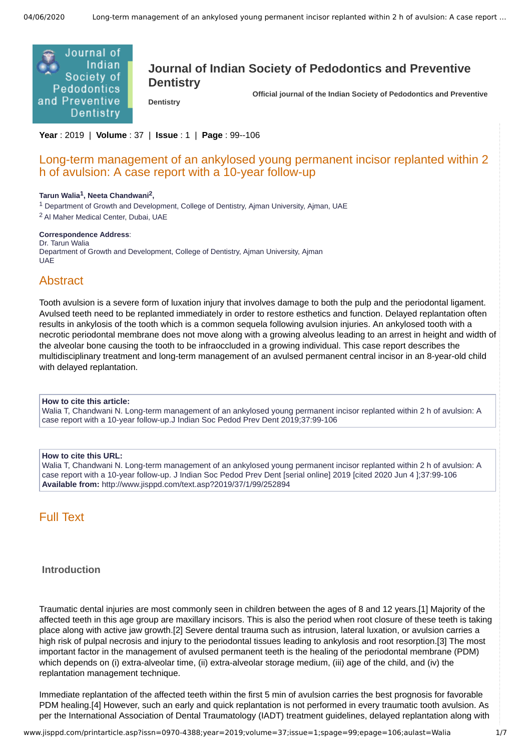

# **Journal of Indian Society of Pedodontics and Preventive Dentistry**

**Dentistry** 

 **Official journal of the Indian Society of Pedodontics and Preventive**

**Year** : 2019 | **Volume** : 37 | **Issue** : 1 | **Page** : 99--106

## Long-term management of an ankylosed young permanent incisor replanted within 2 h of avulsion: A case report with a 10-year follow-up

#### **Tarun Walia<sup>1</sup> , Neeta Chandwani<sup>2</sup> ,**

<sup>1</sup> Department of Growth and Development, College of Dentistry, Ajman University, Ajman, UAE <sup>2</sup> Al Maher Medical Center, Dubai, UAE

#### **Correspondence Address**:

Dr. Tarun Walia Department of Growth and Development, College of Dentistry, Ajman University, Ajman **UAE** 

### Abstract

Tooth avulsion is a severe form of luxation injury that involves damage to both the pulp and the periodontal ligament. Avulsed teeth need to be replanted immediately in order to restore esthetics and function. Delayed replantation often results in ankylosis of the tooth which is a common sequela following avulsion injuries. An ankylosed tooth with a necrotic periodontal membrane does not move along with a growing alveolus leading to an arrest in height and width of the alveolar bone causing the tooth to be infraoccluded in a growing individual. This case report describes the multidisciplinary treatment and long-term management of an avulsed permanent central incisor in an 8-year-old child with delayed replantation.

#### **How to cite this article:**

Walia T, Chandwani N. Long-term management of an ankylosed young permanent incisor replanted within 2 h of avulsion: A case report with a 10-year follow-up.J Indian Soc Pedod Prev Dent 2019;37:99-106

#### **How to cite this URL:**

Walia T, Chandwani N. Long-term management of an ankylosed young permanent incisor replanted within 2 h of avulsion: A case report with a 10-year follow-up. J Indian Soc Pedod Prev Dent [serial online] 2019 [cited 2020 Jun 4 1:37:99-106 **Available from:** http://www.jisppd.com/text.asp?2019/37/1/99/252894

## Full Text

#### **Introduction**

Traumatic dental injuries are most commonly seen in children between the ages of 8 and 12 years.[1] Majority of the affected teeth in this age group are maxillary incisors. This is also the period when root closure of these teeth is taking place along with active jaw growth.[2] Severe dental trauma such as intrusion, lateral luxation, or avulsion carries a high risk of pulpal necrosis and injury to the periodontal tissues leading to ankylosis and root resorption.[3] The most important factor in the management of avulsed permanent teeth is the healing of the periodontal membrane (PDM) which depends on (i) extra-alveolar time, (ii) extra-alveolar storage medium, (iii) age of the child, and (iv) the replantation management technique.

Immediate replantation of the affected teeth within the first 5 min of avulsion carries the best prognosis for favorable PDM healing.[4] However, such an early and quick replantation is not performed in every traumatic tooth avulsion. As per the International Association of Dental Traumatology (IADT) treatment guidelines, delayed replantation along with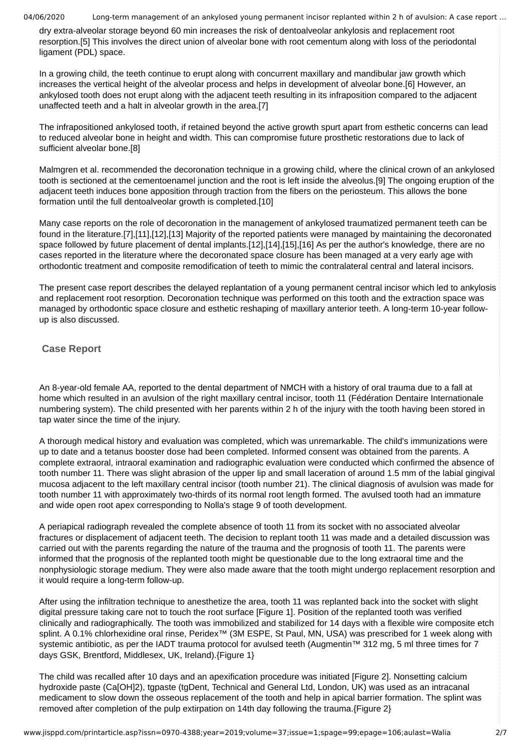dry extra-alveolar storage beyond 60 min increases the risk of dentoalveolar ankylosis and replacement root resorption.[5] This involves the direct union of alveolar bone with root cementum along with loss of the periodontal ligament (PDL) space.

In a growing child, the teeth continue to erupt along with concurrent maxillary and mandibular jaw growth which increases the vertical height of the alveolar process and helps in development of alveolar bone.[6] However, an ankylosed tooth does not erupt along with the adjacent teeth resulting in its infraposition compared to the adjacent unaffected teeth and a halt in alveolar growth in the area.[7]

The infrapositioned ankylosed tooth, if retained beyond the active growth spurt apart from esthetic concerns can lead to reduced alveolar bone in height and width. This can compromise future prosthetic restorations due to lack of sufficient alveolar bone.[8]

Malmgren et al. recommended the decoronation technique in a growing child, where the clinical crown of an ankylosed tooth is sectioned at the cementoenamel junction and the root is left inside the alveolus.[9] The ongoing eruption of the adjacent teeth induces bone apposition through traction from the fibers on the periosteum. This allows the bone formation until the full dentoalveolar growth is completed.[10]

Many case reports on the role of decoronation in the management of ankylosed traumatized permanent teeth can be found in the literature.[7],[11],[12],[13] Majority of the reported patients were managed by maintaining the decoronated space followed by future placement of dental implants.[12],[14],[15],[16] As per the author's knowledge, there are no cases reported in the literature where the decoronated space closure has been managed at a very early age with orthodontic treatment and composite remodification of teeth to mimic the contralateral central and lateral incisors.

The present case report describes the delayed replantation of a young permanent central incisor which led to ankylosis and replacement root resorption. Decoronation technique was performed on this tooth and the extraction space was managed by orthodontic space closure and esthetic reshaping of maxillary anterior teeth. A long-term 10-year followup is also discussed.

### **Case Report**

An 8-year-old female AA, reported to the dental department of NMCH with a history of oral trauma due to a fall at home which resulted in an avulsion of the right maxillary central incisor, tooth 11 (Fédération Dentaire Internationale numbering system). The child presented with her parents within 2 h of the injury with the tooth having been stored in tap water since the time of the injury.

A thorough medical history and evaluation was completed, which was unremarkable. The child's immunizations were up to date and a tetanus booster dose had been completed. Informed consent was obtained from the parents. A complete extraoral, intraoral examination and radiographic evaluation were conducted which confirmed the absence of tooth number 11. There was slight abrasion of the upper lip and small laceration of around 1.5 mm of the labial gingival mucosa adjacent to the left maxillary central incisor (tooth number 21). The clinical diagnosis of avulsion was made for tooth number 11 with approximately two-thirds of its normal root length formed. The avulsed tooth had an immature and wide open root apex corresponding to Nolla's stage 9 of tooth development.

A periapical radiograph revealed the complete absence of tooth 11 from its socket with no associated alveolar fractures or displacement of adjacent teeth. The decision to replant tooth 11 was made and a detailed discussion was carried out with the parents regarding the nature of the trauma and the prognosis of tooth 11. The parents were informed that the prognosis of the replanted tooth might be questionable due to the long extraoral time and the nonphysiologic storage medium. They were also made aware that the tooth might undergo replacement resorption and it would require a long-term follow-up.

After using the infiltration technique to anesthetize the area, tooth 11 was replanted back into the socket with slight digital pressure taking care not to touch the root surface [Figure 1]. Position of the replanted tooth was verified clinically and radiographically. The tooth was immobilized and stabilized for 14 days with a flexible wire composite etch splint. A 0.1% chlorhexidine oral rinse, Peridex™ (3M ESPE, St Paul, MN, USA) was prescribed for 1 week along with systemic antibiotic, as per the IADT trauma protocol for avulsed teeth (Augmentin™ 312 mg, 5 ml three times for 7 days GSK, Brentford, Middlesex, UK, Ireland).{Figure 1}

The child was recalled after 10 days and an apexification procedure was initiated [Figure 2]. Nonsetting calcium hydroxide paste (Ca[OH]2), tgpaste (tgDent, Technical and General Ltd, London, UK) was used as an intracanal medicament to slow down the osseous replacement of the tooth and help in apical barrier formation. The splint was removed after completion of the pulp extirpation on 14th day following the trauma.{Figure 2}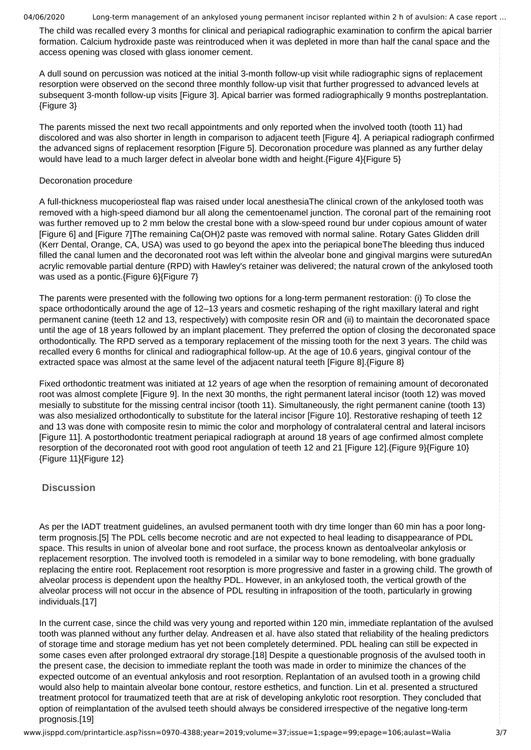The child was recalled every 3 months for clinical and periapical radiographic examination to confirm the apical barrier formation. Calcium hydroxide paste was reintroduced when it was depleted in more than half the canal space and the access opening was closed with glass ionomer cement.

A dull sound on percussion was noticed at the initial 3-month follow-up visit while radiographic signs of replacement resorption were observed on the second three monthly follow-up visit that further progressed to advanced levels at subsequent 3-month follow-up visits [Figure 3]. Apical barrier was formed radiographically 9 months postreplantation. {Figure 3}

The parents missed the next two recall appointments and only reported when the involved tooth (tooth 11) had discolored and was also shorter in length in comparison to adjacent teeth [Figure 4]. A periapical radiograph confirmed the advanced signs of replacement resorption [Figure 5]. Decoronation procedure was planned as any further delay would have lead to a much larger defect in alveolar bone width and height.{Figure 4}{Figure 5}

#### Decoronation procedure

A full-thickness mucoperiosteal flap was raised under local anesthesiaThe clinical crown of the ankylosed tooth was removed with a high-speed diamond bur all along the cementoenamel junction. The coronal part of the remaining root was further removed up to 2 mm below the crestal bone with a slow-speed round bur under copious amount of water [Figure 6] and [Figure 7]The remaining Ca(OH)2 paste was removed with normal saline. Rotary Gates Glidden drill (Kerr Dental, Orange, CA, USA) was used to go beyond the apex into the periapical boneThe bleeding thus induced filled the canal lumen and the decoronated root was left within the alveolar bone and gingival margins were suturedAn acrylic removable partial denture (RPD) with Hawley's retainer was delivered; the natural crown of the ankylosed tooth was used as a pontic.{Figure 6}{Figure 7}

The parents were presented with the following two options for a long-term permanent restoration: (i) To close the space orthodontically around the age of 12–13 years and cosmetic reshaping of the right maxillary lateral and right permanent canine (teeth 12 and 13, respectively) with composite resin OR and (ii) to maintain the decoronated space until the age of 18 years followed by an implant placement. They preferred the option of closing the decoronated space orthodontically. The RPD served as a temporary replacement of the missing tooth for the next 3 years. The child was recalled every 6 months for clinical and radiographical follow-up. At the age of 10.6 years, gingival contour of the extracted space was almost at the same level of the adjacent natural teeth [Figure 8].{Figure 8}

Fixed orthodontic treatment was initiated at 12 years of age when the resorption of remaining amount of decoronated root was almost complete [Figure 9]. In the next 30 months, the right permanent lateral incisor (tooth 12) was moved mesially to substitute for the missing central incisor (tooth 11). Simultaneously, the right permanent canine (tooth 13) was also mesialized orthodontically to substitute for the lateral incisor [Figure 10]. Restorative reshaping of teeth 12 and 13 was done with composite resin to mimic the color and morphology of contralateral central and lateral incisors [Figure 11]. A postorthodontic treatment periapical radiograph at around 18 years of age confirmed almost complete resorption of the decoronated root with good root angulation of teeth 12 and 21 [Figure 12].{Figure 9}{Figure 10} {Figure 11}{Figure 12}

### **Discussion**

As per the IADT treatment guidelines, an avulsed permanent tooth with dry time longer than 60 min has a poor longterm prognosis.[5] The PDL cells become necrotic and are not expected to heal leading to disappearance of PDL space. This results in union of alveolar bone and root surface, the process known as dentoalveolar ankylosis or replacement resorption. The involved tooth is remodeled in a similar way to bone remodeling, with bone gradually replacing the entire root. Replacement root resorption is more progressive and faster in a growing child. The growth of alveolar process is dependent upon the healthy PDL. However, in an ankylosed tooth, the vertical growth of the alveolar process will not occur in the absence of PDL resulting in infraposition of the tooth, particularly in growing individuals.[17]

In the current case, since the child was very young and reported within 120 min, immediate replantation of the avulsed tooth was planned without any further delay. Andreasen et al. have also stated that reliability of the healing predictors of storage time and storage medium has yet not been completely determined. PDL healing can still be expected in some cases even after prolonged extraoral dry storage.[18] Despite a questionable prognosis of the avulsed tooth in the present case, the decision to immediate replant the tooth was made in order to minimize the chances of the expected outcome of an eventual ankylosis and root resorption. Replantation of an avulsed tooth in a growing child would also help to maintain alveolar bone contour, restore esthetics, and function. Lin et al. presented a structured treatment protocol for traumatized teeth that are at risk of developing ankylotic root resorption. They concluded that option of reimplantation of the avulsed teeth should always be considered irrespective of the negative long-term prognosis.[19]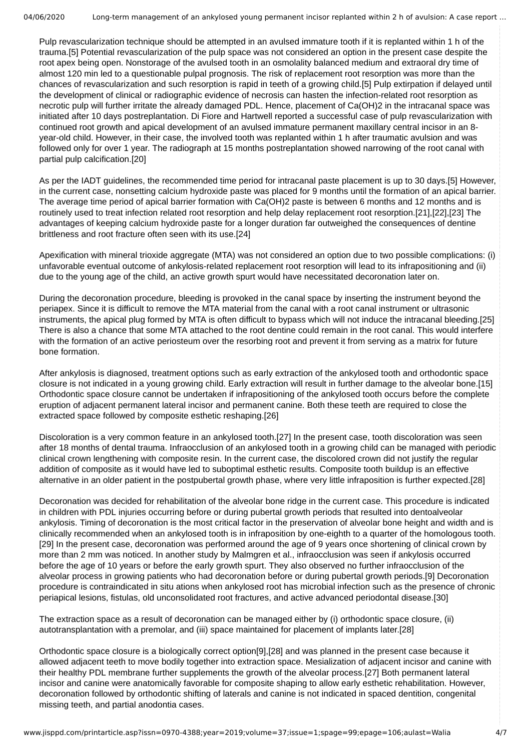Pulp revascularization technique should be attempted in an avulsed immature tooth if it is replanted within 1 h of the trauma.[5] Potential revascularization of the pulp space was not considered an option in the present case despite the root apex being open. Nonstorage of the avulsed tooth in an osmolality balanced medium and extraoral dry time of almost 120 min led to a questionable pulpal prognosis. The risk of replacement root resorption was more than the chances of revascularization and such resorption is rapid in teeth of a growing child.[5] Pulp extirpation if delayed until the development of clinical or radiographic evidence of necrosis can hasten the infection-related root resorption as necrotic pulp will further irritate the already damaged PDL. Hence, placement of Ca(OH)2 in the intracanal space was initiated after 10 days postreplantation. Di Fiore and Hartwell reported a successful case of pulp revascularization with continued root growth and apical development of an avulsed immature permanent maxillary central incisor in an 8 year-old child. However, in their case, the involved tooth was replanted within 1 h after traumatic avulsion and was followed only for over 1 year. The radiograph at 15 months postreplantation showed narrowing of the root canal with partial pulp calcification.[20]

As per the IADT guidelines, the recommended time period for intracanal paste placement is up to 30 days.[5] However, in the current case, nonsetting calcium hydroxide paste was placed for 9 months until the formation of an apical barrier. The average time period of apical barrier formation with Ca(OH)2 paste is between 6 months and 12 months and is routinely used to treat infection related root resorption and help delay replacement root resorption.[21],[22],[23] The advantages of keeping calcium hydroxide paste for a longer duration far outweighed the consequences of dentine brittleness and root fracture often seen with its use.[24]

Apexification with mineral trioxide aggregate (MTA) was not considered an option due to two possible complications: (i) unfavorable eventual outcome of ankylosis-related replacement root resorption will lead to its infrapositioning and (ii) due to the young age of the child, an active growth spurt would have necessitated decoronation later on.

During the decoronation procedure, bleeding is provoked in the canal space by inserting the instrument beyond the periapex. Since it is difficult to remove the MTA material from the canal with a root canal instrument or ultrasonic instruments, the apical plug formed by MTA is often difficult to bypass which will not induce the intracanal bleeding.[25] There is also a chance that some MTA attached to the root dentine could remain in the root canal. This would interfere with the formation of an active periosteum over the resorbing root and prevent it from serving as a matrix for future bone formation.

After ankylosis is diagnosed, treatment options such as early extraction of the ankylosed tooth and orthodontic space closure is not indicated in a young growing child. Early extraction will result in further damage to the alveolar bone.[15] Orthodontic space closure cannot be undertaken if infrapositioning of the ankylosed tooth occurs before the complete eruption of adjacent permanent lateral incisor and permanent canine. Both these teeth are required to close the extracted space followed by composite esthetic reshaping.[26]

Discoloration is a very common feature in an ankylosed tooth.[27] In the present case, tooth discoloration was seen after 18 months of dental trauma. Infraocclusion of an ankylosed tooth in a growing child can be managed with periodic clinical crown lengthening with composite resin. In the current case, the discolored crown did not justify the regular addition of composite as it would have led to suboptimal esthetic results. Composite tooth buildup is an effective alternative in an older patient in the postpubertal growth phase, where very little infraposition is further expected.[28]

Decoronation was decided for rehabilitation of the alveolar bone ridge in the current case. This procedure is indicated in children with PDL injuries occurring before or during pubertal growth periods that resulted into dentoalveolar ankylosis. Timing of decoronation is the most critical factor in the preservation of alveolar bone height and width and is clinically recommended when an ankylosed tooth is in infraposition by one-eighth to a quarter of the homologous tooth. [29] In the present case, decoronation was performed around the age of 9 years once shortening of clinical crown by more than 2 mm was noticed. In another study by Malmgren et al., infraocclusion was seen if ankylosis occurred before the age of 10 years or before the early growth spurt. They also observed no further infraocclusion of the alveolar process in growing patients who had decoronation before or during pubertal growth periods.[9] Decoronation procedure is contraindicated in situ ations when ankylosed root has microbial infection such as the presence of chronic periapical lesions, fistulas, old unconsolidated root fractures, and active advanced periodontal disease.[30]

The extraction space as a result of decoronation can be managed either by (i) orthodontic space closure, (ii) autotransplantation with a premolar, and (iii) space maintained for placement of implants later.[28]

Orthodontic space closure is a biologically correct option[9],[28] and was planned in the present case because it allowed adjacent teeth to move bodily together into extraction space. Mesialization of adjacent incisor and canine with their healthy PDL membrane further supplements the growth of the alveolar process.[27] Both permanent lateral incisor and canine were anatomically favorable for composite shaping to allow early esthetic rehabilitation. However, decoronation followed by orthodontic shifting of laterals and canine is not indicated in spaced dentition, congenital missing teeth, and partial anodontia cases.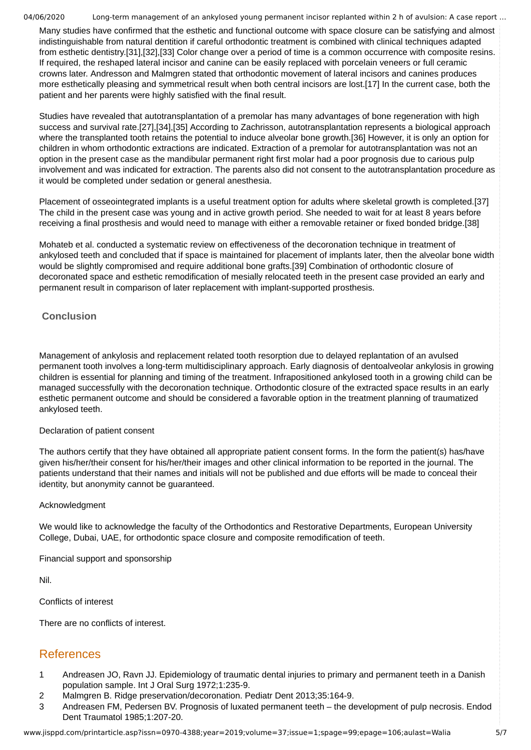Many studies have confirmed that the esthetic and functional outcome with space closure can be satisfying and almost indistinguishable from natural dentition if careful orthodontic treatment is combined with clinical techniques adapted from esthetic dentistry.[31],[32],[33] Color change over a period of time is a common occurrence with composite resins. If required, the reshaped lateral incisor and canine can be easily replaced with porcelain veneers or full ceramic crowns later. Andresson and Malmgren stated that orthodontic movement of lateral incisors and canines produces more esthetically pleasing and symmetrical result when both central incisors are lost.[17] In the current case, both the patient and her parents were highly satisfied with the final result.

Studies have revealed that autotransplantation of a premolar has many advantages of bone regeneration with high success and survival rate.[27],[34],[35] According to Zachrisson, autotransplantation represents a biological approach where the transplanted tooth retains the potential to induce alveolar bone growth.[36] However, it is only an option for children in whom orthodontic extractions are indicated. Extraction of a premolar for autotransplantation was not an option in the present case as the mandibular permanent right first molar had a poor prognosis due to carious pulp involvement and was indicated for extraction. The parents also did not consent to the autotransplantation procedure as it would be completed under sedation or general anesthesia.

Placement of osseointegrated implants is a useful treatment option for adults where skeletal growth is completed.[37] The child in the present case was young and in active growth period. She needed to wait for at least 8 years before receiving a final prosthesis and would need to manage with either a removable retainer or fixed bonded bridge.[38]

Mohateb et al. conducted a systematic review on effectiveness of the decoronation technique in treatment of ankylosed teeth and concluded that if space is maintained for placement of implants later, then the alveolar bone width would be slightly compromised and require additional bone grafts.[39] Combination of orthodontic closure of decoronated space and esthetic remodification of mesially relocated teeth in the present case provided an early and permanent result in comparison of later replacement with implant-supported prosthesis.

### **Conclusion**

Management of ankylosis and replacement related tooth resorption due to delayed replantation of an avulsed permanent tooth involves a long-term multidisciplinary approach. Early diagnosis of dentoalveolar ankylosis in growing children is essential for planning and timing of the treatment. Infrapositioned ankylosed tooth in a growing child can be managed successfully with the decoronation technique. Orthodontic closure of the extracted space results in an early esthetic permanent outcome and should be considered a favorable option in the treatment planning of traumatized ankylosed teeth.

#### Declaration of patient consent

The authors certify that they have obtained all appropriate patient consent forms. In the form the patient(s) has/have given his/her/their consent for his/her/their images and other clinical information to be reported in the journal. The patients understand that their names and initials will not be published and due efforts will be made to conceal their identity, but anonymity cannot be guaranteed.

#### Acknowledgment

We would like to acknowledge the faculty of the Orthodontics and Restorative Departments, European University College, Dubai, UAE, for orthodontic space closure and composite remodification of teeth.

Financial support and sponsorship

Nil.

Conflicts of interest

There are no conflicts of interest.

## References

- 1 Andreasen JO, Ravn JJ. Epidemiology of traumatic dental injuries to primary and permanent teeth in a Danish population sample. Int J Oral Surg 1972;1:235-9.
- 2 Malmgren B. Ridge preservation/decoronation. Pediatr Dent 2013;35:164-9.
- 3 Andreasen FM, Pedersen BV. Prognosis of luxated permanent teeth the development of pulp necrosis. Endod Dent Traumatol 1985;1:207-20.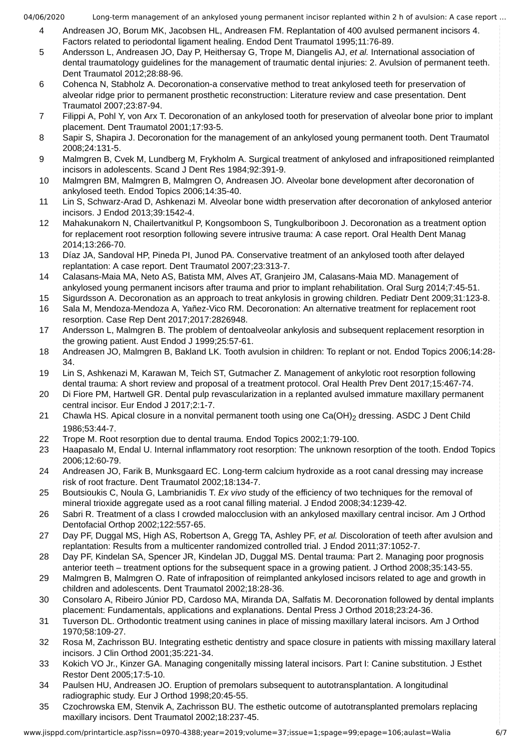- 4 Andreasen JO, Borum MK, Jacobsen HL, Andreasen FM. Replantation of 400 avulsed permanent incisors 4. Factors related to periodontal ligament healing. Endod Dent Traumatol 1995;11:76-89.
- 5 Andersson L, Andreasen JO, Day P, Heithersay G, Trope M, Diangelis AJ, *et al.* International association of dental traumatology guidelines for the management of traumatic dental injuries: 2. Avulsion of permanent teeth. Dent Traumatol 2012;28:88-96.
- 6 Cohenca N, Stabholz A. Decoronation-a conservative method to treat ankylosed teeth for preservation of alveolar ridge prior to permanent prosthetic reconstruction: Literature review and case presentation. Dent Traumatol 2007;23:87-94.
- 7 Filippi A, Pohl Y, von Arx T. Decoronation of an ankylosed tooth for preservation of alveolar bone prior to implant placement. Dent Traumatol 2001;17:93-5.
- 8 Sapir S, Shapira J. Decoronation for the management of an ankylosed young permanent tooth. Dent Traumatol 2008;24:131-5.
- 9 Malmgren B, Cvek M, Lundberg M, Frykholm A. Surgical treatment of ankylosed and infrapositioned reimplanted incisors in adolescents. Scand J Dent Res 1984;92:391-9.
- 10 Malmgren BM, Malmgren B, Malmgren O, Andreasen JO. Alveolar bone development after decoronation of ankylosed teeth. Endod Topics 2006;14:35-40.
- 11 Lin S, Schwarz-Arad D, Ashkenazi M. Alveolar bone width preservation after decoronation of ankylosed anterior incisors. J Endod 2013;39:1542-4.
- 12 Mahakunakorn N, Chailertvanitkul P, Kongsomboon S, Tungkulboriboon J. Decoronation as a treatment option for replacement root resorption following severe intrusive trauma: A case report. Oral Health Dent Manag 2014;13:266-70.
- 13 Díaz JA, Sandoval HP, Pineda PI, Junod PA. Conservative treatment of an ankylosed tooth after delayed replantation: A case report. Dent Traumatol 2007;23:313-7.
- 14 Calasans-Maia MA, Neto AS, Batista MM, Alves AT, Granjeiro JM, Calasans-Maia MD. Management of ankylosed young permanent incisors after trauma and prior to implant rehabilitation. Oral Surg 2014;7:45-51.
- 15 Sigurdsson A. Decoronation as an approach to treat ankylosis in growing children. Pediatr Dent 2009;31:123-8.
- 16 Sala M, Mendoza-Mendoza A, Yañez-Vico RM. Decoronation: An alternative treatment for replacement root resorption. Case Rep Dent 2017;2017:2826948.
- 17 Andersson L, Malmgren B. The problem of dentoalveolar ankylosis and subsequent replacement resorption in the growing patient. Aust Endod J 1999;25:57-61.
- 18 Andreasen JO, Malmgren B, Bakland LK. Tooth avulsion in children: To replant or not. Endod Topics 2006;14:28- 34.
- 19 Lin S, Ashkenazi M, Karawan M, Teich ST, Gutmacher Z. Management of ankylotic root resorption following dental trauma: A short review and proposal of a treatment protocol. Oral Health Prev Dent 2017;15:467-74.
- 20 Di Fiore PM, Hartwell GR. Dental pulp revascularization in a replanted avulsed immature maxillary permanent central incisor. Eur Endod J 2017;2:1-7.
- 21 Chawla HS. Apical closure in a nonvital permanent tooth using one Ca(OH)<sub>2</sub> dressing. ASDC J Dent Child 1986;53:44-7.
- 22 Trope M. Root resorption due to dental trauma. Endod Topics 2002;1:79-100.
- 23 Haapasalo M, Endal U. Internal inflammatory root resorption: The unknown resorption of the tooth. Endod Topics 2006;12:60-79.
- 24 Andreasen JO, Farik B, Munksgaard EC. Long-term calcium hydroxide as a root canal dressing may increase risk of root fracture. Dent Traumatol 2002;18:134-7.
- 25 Boutsioukis C, Noula G, Lambrianidis T. *Ex vivo* study of the efficiency of two techniques for the removal of mineral trioxide aggregate used as a root canal filling material. J Endod 2008;34:1239-42.
- 26 Sabri R. Treatment of a class I crowded malocclusion with an ankylosed maxillary central incisor. Am J Orthod Dentofacial Orthop 2002;122:557-65.
- 27 Day PF, Duggal MS, High AS, Robertson A, Gregg TA, Ashley PF, *et al.* Discoloration of teeth after avulsion and replantation: Results from a multicenter randomized controlled trial. J Endod 2011;37:1052-7.
- 28 Day PF, Kindelan SA, Spencer JR, Kindelan JD, Duggal MS. Dental trauma: Part 2. Managing poor prognosis anterior teeth – treatment options for the subsequent space in a growing patient. J Orthod 2008;35:143-55.
- 29 Malmgren B, Malmgren O. Rate of infraposition of reimplanted ankylosed incisors related to age and growth in children and adolescents. Dent Traumatol 2002;18:28-36.
- 30 Consolaro A, Ribeiro Júnior PD, Cardoso MA, Miranda DA, Salfatis M. Decoronation followed by dental implants placement: Fundamentals, applications and explanations. Dental Press J Orthod 2018;23:24-36.
- 31 Tuverson DL. Orthodontic treatment using canines in place of missing maxillary lateral incisors. Am J Orthod 1970;58:109-27.
- 32 Rosa M, Zachrisson BU. Integrating esthetic dentistry and space closure in patients with missing maxillary lateral incisors. J Clin Orthod 2001;35:221-34.
- 33 Kokich VO Jr., Kinzer GA. Managing congenitally missing lateral incisors. Part I: Canine substitution. J Esthet Restor Dent 2005;17:5-10.
- 34 Paulsen HU, Andreasen JO. Eruption of premolars subsequent to autotransplantation. A longitudinal radiographic study. Eur J Orthod 1998;20:45-55.
- 35 Czochrowska EM, Stenvik A, Zachrisson BU. The esthetic outcome of autotransplanted premolars replacing maxillary incisors. Dent Traumatol 2002;18:237-45.